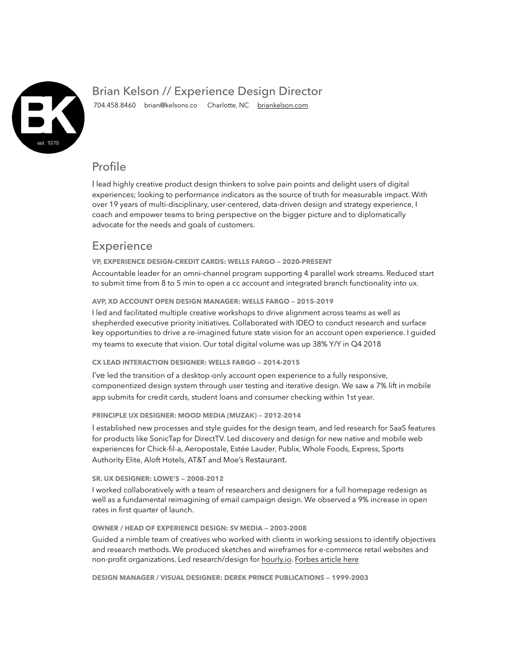

# Brian Kelson // Experience Design Director

704.458.8460 brian@kelsons.co Charlotte, NC [briankelson.com](http://briankelson.com)

## Profile

I lead highly creative product design thinkers to solve pain points and delight users of digital experiences; looking to performance indicators as the source of truth for measurable impact. With over 19 years of multi-disciplinary, user-centered, data-driven design and strategy experience, I coach and empower teams to bring perspective on the bigger picture and to diplomatically advocate for the needs and goals of customers.

### **Experience**

#### **VP, EXPERIENCE DESIGN-CREDIT CARDS: WELLS FARGO — 2020-PRESENT**

Accountable leader for an omni-channel program supporting 4 parallel work streams. Reduced start to submit time from 8 to 5 min to open a cc account and integrated branch functionality into ux.

#### **AVP, XD ACCOUNT OPEN DESIGN MANAGER: WELLS FARGO — 2015-2019**

I led and facilitated multiple creative workshops to drive alignment across teams as well as shepherded executive priority initiatives. Collaborated with IDEO to conduct research and surface key opportunities to drive a re-imagined future state vision for an account open experience. I guided my teams to execute that vision. Our total digital volume was up 38% Y/Y in Q4 2018

#### **CX LEAD INTERACTION DESIGNER: WELLS FARGO — 2014-2015**

I've led the transition of a desktop-only account open experience to a fully responsive, componentized design system through user testing and iterative design. We saw a 7% lift in mobile app submits for credit cards, student loans and consumer checking within 1st year.

#### **PRINCIPLE UX DESIGNER: MOOD MEDIA (MUZAK) — 2012-2014**

I established new processes and style guides for the design team, and led research for SaaS features for products like SonicTap for DirectTV. Led discovery and design for new native and mobile web experiences for Chick-fil-a, Aeropostale, Estée Lauder, Publix, Whole Foods, Express, Sports Authority Elite, Aloft Hotels, AT&T and Moe's Restaurant.

#### **SR. UX DESIGNER: LOWE'S — 2008-2012**

I worked collaboratively with a team of researchers and designers for a full homepage redesign as well as a fundamental reimagining of email campaign design. We observed a 9% increase in open rates in first quarter of launch.

#### **OWNER / HEAD OF EXPERIENCE DESIGN: SV MEDIA — 2003-2008**

Guided a nimble team of creatives who worked with clients in working sessions to identify objectives and research methods. We produced sketches and wireframes for e-commerce retail websites and non-profit organizations. Led research/design for [hourly.io.](http://hourly.io) [Forbes article here](https://www.forbes.com/sites/nealtaparia/2020/10/08/from-construction-to-tech-how-to-start-a-tech-company-without-a-tech-background/?sh=45131e934def)

**DESIGN MANAGER / VISUAL DESIGNER: DEREK PRINCE PUBLICATIONS — 1999-2003**